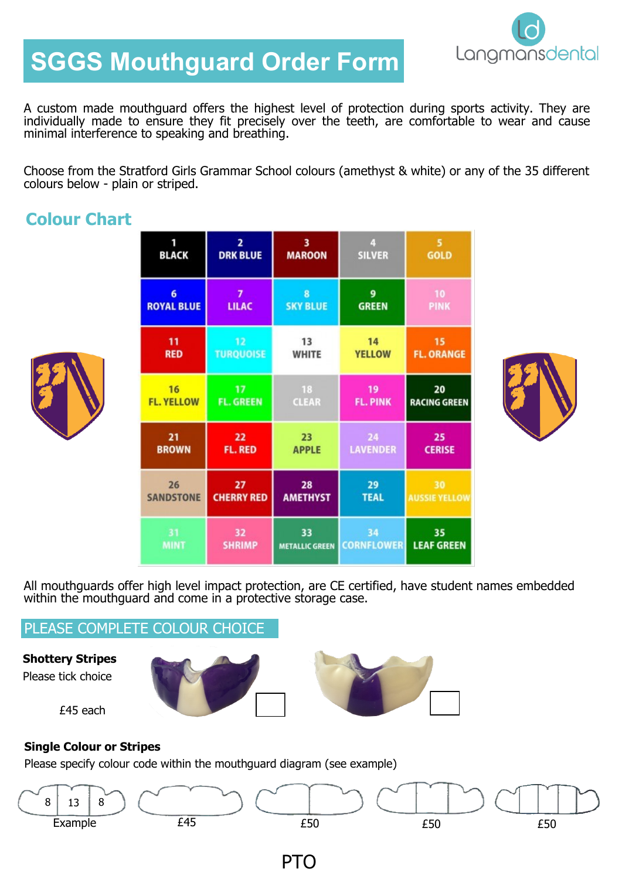

# **SGGS Mouthguard Order Form**

A custom made mouthguard offers the highest level of protection during sports activity. They are individually made to ensure they fit precisely over the teeth, are comfortable to wear and cause minimal interference to speaking and breathing.

Choose from the Stratford Girls Grammar School colours (amethyst & white) or any of the 35 different colours below - plain or striped.

# **Colour Chart**



| 1                 | $\overline{2}$    | 3                     | 4                 | 5                    |
|-------------------|-------------------|-----------------------|-------------------|----------------------|
| <b>BLACK</b>      | <b>DRK BLUE</b>   | <b>MAROON</b>         | <b>SILVER</b>     | <b>GOLD</b>          |
| 6                 | 7                 | 8                     | 9                 | 10                   |
| <b>ROYAL BLUE</b> | <b>LILAC</b>      | <b>SKY BLUE</b>       | <b>GREEN</b>      | <b>PINK</b>          |
| 11                | 12                | 13                    | 14                | 15                   |
| <b>RED</b>        | <b>TURQUOISE</b>  | <b>WHITE</b>          | <b>YELLOW</b>     | <b>FL. ORANGE</b>    |
| 16                | 17                | 18                    | 19                | 20                   |
| <b>FL. YELLOW</b> | <b>FL. GREEN</b>  | <b>CLEAR</b>          | <b>FL. PINK</b>   | <b>RACING GREEN</b>  |
| 21                | 22                | 23                    | 24                | 25                   |
| <b>BROWN</b>      | <b>FL. RED</b>    | <b>APPLE</b>          | <b>LAVENDER</b>   | <b>CERISE</b>        |
| 26                | 27                | 28                    | 29                | 30                   |
| <b>SANDSTONE</b>  | <b>CHERRY RED</b> | <b>AMETHYST</b>       | <b>TEAL</b>       | <b>AUSSIE YELLOW</b> |
| 31                | 32                | 33                    | 34                | 35                   |
| <b>MINT</b>       | <b>SHRIMP</b>     | <b>METALLIC GREEN</b> | <b>CORNFLOWER</b> | <b>LEAF GREEN</b>    |



All mouthguards offer high level impact protection, are CE certified, have student names embedded within the mouthguard and come in a protective storage case.

### PLEASE COMPLETE COLOUR CHOICE

**Shottery Stripes** Please tick choice

£45 each





#### **Single Colour or Stripes**

Please specify colour code within the mouthguard diagram (see example)



PTO